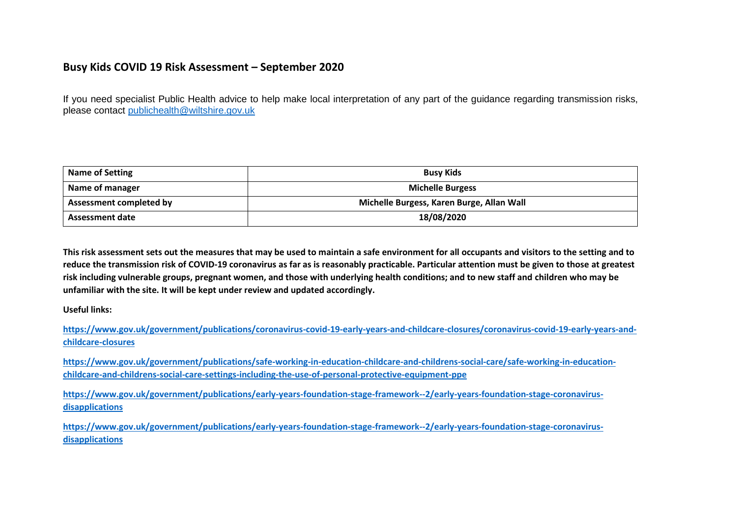## **Busy Kids COVID 19 Risk Assessment – September 2020**

If you need specialist Public Health advice to help make local interpretation of any part of the guidance regarding transmission risks, please contact [publichealth@wiltshire.gov.uk](mailto:publichealth@wiltshire.gov.uk)

| Name of Setting                | <b>Busy Kids</b>                          |  |
|--------------------------------|-------------------------------------------|--|
| Name of manager                | <b>Michelle Burgess</b>                   |  |
| <b>Assessment completed by</b> | Michelle Burgess, Karen Burge, Allan Wall |  |
| <b>Assessment date</b>         | 18/08/2020                                |  |

**This risk assessment sets out the measures that may be used to maintain a safe environment for all occupants and visitors to the setting and to reduce the transmission risk of COVID-19 coronavirus as far as is reasonably practicable. Particular attention must be given to those at greatest risk including vulnerable groups, pregnant women, and those with underlying health conditions; and to new staff and children who may be unfamiliar with the site. It will be kept under review and updated accordingly.** 

**Useful links:**

**[https://www.gov.uk/government/publications/coronavirus-covid-19-early-years-and-childcare-closures/coronavirus-covid-19-early-years-and](https://www.gov.uk/government/publications/coronavirus-covid-19-early-years-and-childcare-closures/coronavirus-covid-19-early-years-and-childcare-closures)[childcare-closures](https://www.gov.uk/government/publications/coronavirus-covid-19-early-years-and-childcare-closures/coronavirus-covid-19-early-years-and-childcare-closures)**

**[https://www.gov.uk/government/publications/safe-working-in-education-childcare-and-childrens-social-care/safe-working-in-education](https://www.gov.uk/government/publications/safe-working-in-education-childcare-and-childrens-social-care/safe-working-in-education-childcare-and-childrens-social-care-settings-including-the-use-of-personal-protective-equipment-ppe)[childcare-and-childrens-social-care-settings-including-the-use-of-personal-protective-equipment-ppe](https://www.gov.uk/government/publications/safe-working-in-education-childcare-and-childrens-social-care/safe-working-in-education-childcare-and-childrens-social-care-settings-including-the-use-of-personal-protective-equipment-ppe)**

**[https://www.gov.uk/government/publications/early-years-foundation-stage-framework--2/early-years-foundation-stage-coronavirus](https://www.gov.uk/government/publications/early-years-foundation-stage-framework--2/early-years-foundation-stage-coronavirus-disapplications)[disapplications](https://www.gov.uk/government/publications/early-years-foundation-stage-framework--2/early-years-foundation-stage-coronavirus-disapplications)**

**[https://www.gov.uk/government/publications/early-years-foundation-stage-framework--2/early-years-foundation-stage-coronavirus](https://www.gov.uk/government/publications/early-years-foundation-stage-framework--2/early-years-foundation-stage-coronavirus-disapplications)[disapplications](https://www.gov.uk/government/publications/early-years-foundation-stage-framework--2/early-years-foundation-stage-coronavirus-disapplications)**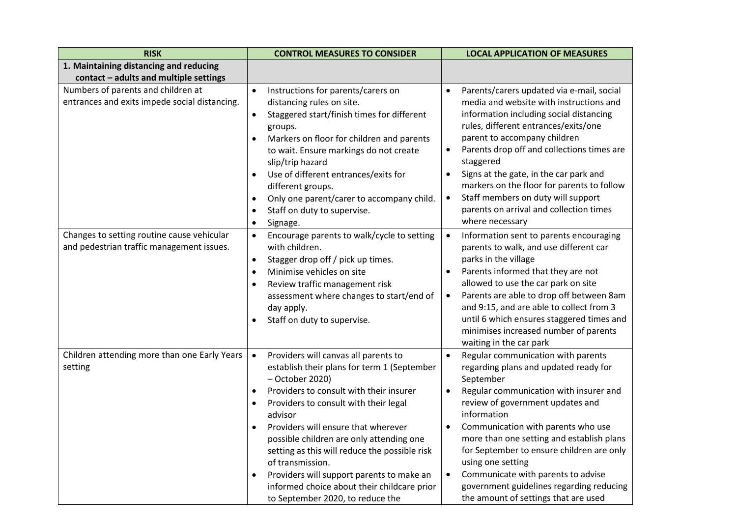| <b>RISK</b>                                                                                                                                                                    | <b>CONTROL MEASURES TO CONSIDER</b>                                                                                                                                                                                                                                                                                                                                                                                                                                                                                                  | <b>LOCAL APPLICATION OF MEASURES</b>                                                                                                                                                                                                                                                                                                                                                                                                                                                                                                                                                                    |
|--------------------------------------------------------------------------------------------------------------------------------------------------------------------------------|--------------------------------------------------------------------------------------------------------------------------------------------------------------------------------------------------------------------------------------------------------------------------------------------------------------------------------------------------------------------------------------------------------------------------------------------------------------------------------------------------------------------------------------|---------------------------------------------------------------------------------------------------------------------------------------------------------------------------------------------------------------------------------------------------------------------------------------------------------------------------------------------------------------------------------------------------------------------------------------------------------------------------------------------------------------------------------------------------------------------------------------------------------|
| 1. Maintaining distancing and reducing<br>contact - adults and multiple settings                                                                                               |                                                                                                                                                                                                                                                                                                                                                                                                                                                                                                                                      |                                                                                                                                                                                                                                                                                                                                                                                                                                                                                                                                                                                                         |
| Numbers of parents and children at<br>entrances and exits impede social distancing.<br>Changes to setting routine cause vehicular<br>and pedestrian traffic management issues. | Instructions for parents/carers on<br>distancing rules on site.<br>Staggered start/finish times for different<br>groups.<br>Markers on floor for children and parents<br>to wait. Ensure markings do not create<br>slip/trip hazard<br>Use of different entrances/exits for<br>different groups.<br>Only one parent/carer to accompany child.<br>Staff on duty to supervise.<br>Signage.<br>Encourage parents to walk/cycle to setting<br>$\bullet$<br>with children.                                                                | Parents/carers updated via e-mail, social<br>media and website with instructions and<br>information including social distancing<br>rules, different entrances/exits/one<br>parent to accompany children<br>Parents drop off and collections times are<br>$\bullet$<br>staggered<br>Signs at the gate, in the car park and<br>$\bullet$<br>markers on the floor for parents to follow<br>Staff members on duty will support<br>$\bullet$<br>parents on arrival and collection times<br>where necessary<br>Information sent to parents encouraging<br>$\bullet$<br>parents to walk, and use different car |
|                                                                                                                                                                                | Stagger drop off / pick up times.<br>$\bullet$<br>Minimise vehicles on site<br>$\bullet$<br>Review traffic management risk<br>assessment where changes to start/end of<br>day apply.<br>Staff on duty to supervise.                                                                                                                                                                                                                                                                                                                  | parks in the village<br>Parents informed that they are not<br>allowed to use the car park on site<br>Parents are able to drop off between 8am<br>$\bullet$<br>and 9:15, and are able to collect from 3<br>until 6 which ensures staggered times and<br>minimises increased number of parents<br>waiting in the car park                                                                                                                                                                                                                                                                                 |
| Children attending more than one Early Years<br>setting                                                                                                                        | Providers will canvas all parents to<br>$\bullet$<br>establish their plans for term 1 (September<br>- October 2020)<br>Providers to consult with their insurer<br>$\bullet$<br>Providers to consult with their legal<br>$\bullet$<br>advisor<br>Providers will ensure that wherever<br>possible children are only attending one<br>setting as this will reduce the possible risk<br>of transmission.<br>Providers will support parents to make an<br>informed choice about their childcare prior<br>to September 2020, to reduce the | Regular communication with parents<br>$\bullet$<br>regarding plans and updated ready for<br>September<br>Regular communication with insurer and<br>$\bullet$<br>review of government updates and<br>information<br>Communication with parents who use<br>$\bullet$<br>more than one setting and establish plans<br>for September to ensure children are only<br>using one setting<br>Communicate with parents to advise<br>$\bullet$<br>government guidelines regarding reducing<br>the amount of settings that are used                                                                                |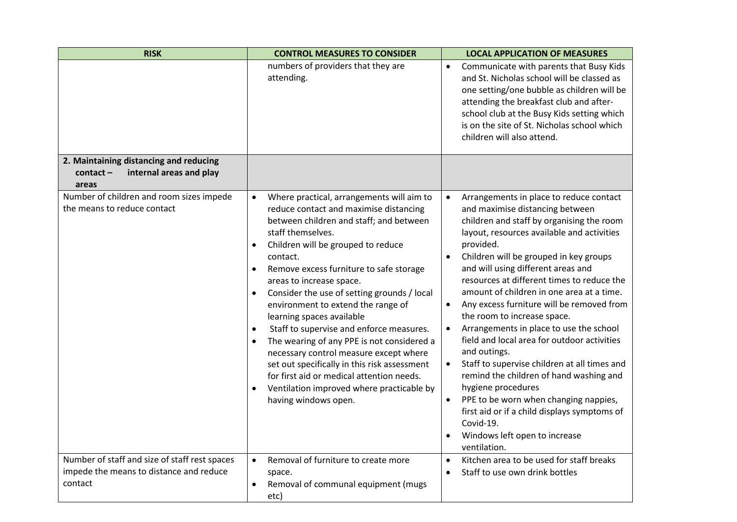| <b>RISK</b>                                                                               | <b>CONTROL MEASURES TO CONSIDER</b>                                                                                                                                                                                                                                                                                                                                                                                                                                                                                                                                                                                                                                                                                                                                                             | <b>LOCAL APPLICATION OF MEASURES</b>                                                                                                                                                                                                                                                                                                                                                                                                                                                                                                                                                                                                                                                                                                                                                                                                                               |  |  |
|-------------------------------------------------------------------------------------------|-------------------------------------------------------------------------------------------------------------------------------------------------------------------------------------------------------------------------------------------------------------------------------------------------------------------------------------------------------------------------------------------------------------------------------------------------------------------------------------------------------------------------------------------------------------------------------------------------------------------------------------------------------------------------------------------------------------------------------------------------------------------------------------------------|--------------------------------------------------------------------------------------------------------------------------------------------------------------------------------------------------------------------------------------------------------------------------------------------------------------------------------------------------------------------------------------------------------------------------------------------------------------------------------------------------------------------------------------------------------------------------------------------------------------------------------------------------------------------------------------------------------------------------------------------------------------------------------------------------------------------------------------------------------------------|--|--|
|                                                                                           | numbers of providers that they are<br>attending.                                                                                                                                                                                                                                                                                                                                                                                                                                                                                                                                                                                                                                                                                                                                                | Communicate with parents that Busy Kids<br>$\bullet$<br>and St. Nicholas school will be classed as<br>one setting/one bubble as children will be<br>attending the breakfast club and after-<br>school club at the Busy Kids setting which<br>is on the site of St. Nicholas school which<br>children will also attend.                                                                                                                                                                                                                                                                                                                                                                                                                                                                                                                                             |  |  |
| 2. Maintaining distancing and reducing<br>internal areas and play<br>$contact -$<br>areas |                                                                                                                                                                                                                                                                                                                                                                                                                                                                                                                                                                                                                                                                                                                                                                                                 |                                                                                                                                                                                                                                                                                                                                                                                                                                                                                                                                                                                                                                                                                                                                                                                                                                                                    |  |  |
| Number of children and room sizes impede<br>the means to reduce contact                   | Where practical, arrangements will aim to<br>$\bullet$<br>reduce contact and maximise distancing<br>between children and staff; and between<br>staff themselves.<br>Children will be grouped to reduce<br>$\bullet$<br>contact.<br>Remove excess furniture to safe storage<br>$\bullet$<br>areas to increase space.<br>Consider the use of setting grounds / local<br>$\bullet$<br>environment to extend the range of<br>learning spaces available<br>Staff to supervise and enforce measures.<br>$\bullet$<br>The wearing of any PPE is not considered a<br>$\bullet$<br>necessary control measure except where<br>set out specifically in this risk assessment<br>for first aid or medical attention needs.<br>Ventilation improved where practicable by<br>$\bullet$<br>having windows open. | Arrangements in place to reduce contact<br>and maximise distancing between<br>children and staff by organising the room<br>layout, resources available and activities<br>provided.<br>Children will be grouped in key groups<br>and will using different areas and<br>resources at different times to reduce the<br>amount of children in one area at a time.<br>Any excess furniture will be removed from<br>$\bullet$<br>the room to increase space.<br>Arrangements in place to use the school<br>$\bullet$<br>field and local area for outdoor activities<br>and outings.<br>Staff to supervise children at all times and<br>$\bullet$<br>remind the children of hand washing and<br>hygiene procedures<br>PPE to be worn when changing nappies,<br>first aid or if a child displays symptoms of<br>Covid-19.<br>Windows left open to increase<br>ventilation. |  |  |
| Number of staff and size of staff rest spaces<br>impede the means to distance and reduce  | Removal of furniture to create more<br>$\bullet$                                                                                                                                                                                                                                                                                                                                                                                                                                                                                                                                                                                                                                                                                                                                                | Kitchen area to be used for staff breaks<br>$\bullet$<br>Staff to use own drink bottles                                                                                                                                                                                                                                                                                                                                                                                                                                                                                                                                                                                                                                                                                                                                                                            |  |  |
| contact                                                                                   | space.<br>Removal of communal equipment (mugs<br>$\bullet$<br>etc)                                                                                                                                                                                                                                                                                                                                                                                                                                                                                                                                                                                                                                                                                                                              |                                                                                                                                                                                                                                                                                                                                                                                                                                                                                                                                                                                                                                                                                                                                                                                                                                                                    |  |  |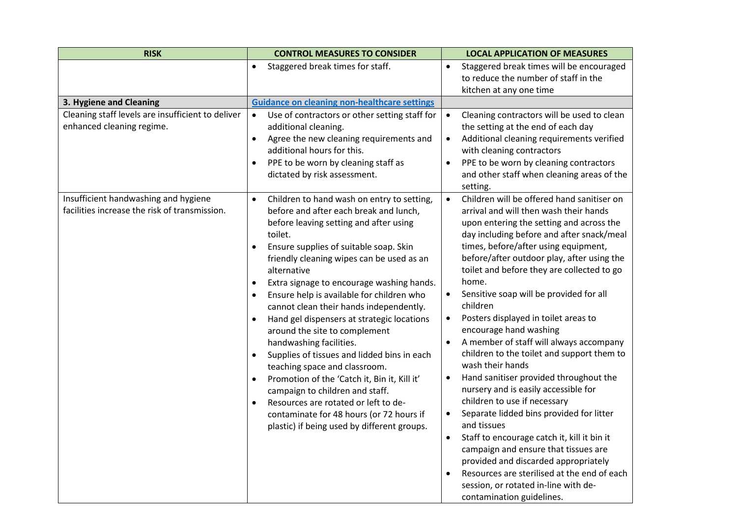| <b>RISK</b>                                                                           | <b>CONTROL MEASURES TO CONSIDER</b>                                                                                                                                                                                                                                                                                                                                                                                                                                                                                                                                                                                                                                                                                                                                                                                                                                                             | <b>LOCAL APPLICATION OF MEASURES</b>                                                                                                                                                                                                                                                                                                                                                                                                                                                                                                                                                                                                                                                                                                                                                                                                                                                                                                                                                                                                                              |  |  |
|---------------------------------------------------------------------------------------|-------------------------------------------------------------------------------------------------------------------------------------------------------------------------------------------------------------------------------------------------------------------------------------------------------------------------------------------------------------------------------------------------------------------------------------------------------------------------------------------------------------------------------------------------------------------------------------------------------------------------------------------------------------------------------------------------------------------------------------------------------------------------------------------------------------------------------------------------------------------------------------------------|-------------------------------------------------------------------------------------------------------------------------------------------------------------------------------------------------------------------------------------------------------------------------------------------------------------------------------------------------------------------------------------------------------------------------------------------------------------------------------------------------------------------------------------------------------------------------------------------------------------------------------------------------------------------------------------------------------------------------------------------------------------------------------------------------------------------------------------------------------------------------------------------------------------------------------------------------------------------------------------------------------------------------------------------------------------------|--|--|
|                                                                                       | Staggered break times for staff.                                                                                                                                                                                                                                                                                                                                                                                                                                                                                                                                                                                                                                                                                                                                                                                                                                                                | Staggered break times will be encouraged<br>to reduce the number of staff in the<br>kitchen at any one time                                                                                                                                                                                                                                                                                                                                                                                                                                                                                                                                                                                                                                                                                                                                                                                                                                                                                                                                                       |  |  |
| 3. Hygiene and Cleaning                                                               | <b>Guidance on cleaning non-healthcare settings</b>                                                                                                                                                                                                                                                                                                                                                                                                                                                                                                                                                                                                                                                                                                                                                                                                                                             |                                                                                                                                                                                                                                                                                                                                                                                                                                                                                                                                                                                                                                                                                                                                                                                                                                                                                                                                                                                                                                                                   |  |  |
| Cleaning staff levels are insufficient to deliver<br>enhanced cleaning regime.        | Use of contractors or other setting staff for<br>$\bullet$<br>additional cleaning.<br>Agree the new cleaning requirements and<br>$\bullet$<br>additional hours for this.<br>PPE to be worn by cleaning staff as<br>$\bullet$<br>dictated by risk assessment.                                                                                                                                                                                                                                                                                                                                                                                                                                                                                                                                                                                                                                    | Cleaning contractors will be used to clean<br>the setting at the end of each day<br>Additional cleaning requirements verified<br>$\bullet$<br>with cleaning contractors<br>PPE to be worn by cleaning contractors<br>$\bullet$<br>and other staff when cleaning areas of the<br>setting.                                                                                                                                                                                                                                                                                                                                                                                                                                                                                                                                                                                                                                                                                                                                                                          |  |  |
| Insufficient handwashing and hygiene<br>facilities increase the risk of transmission. | Children to hand wash on entry to setting,<br>$\bullet$<br>before and after each break and lunch,<br>before leaving setting and after using<br>toilet.<br>Ensure supplies of suitable soap. Skin<br>friendly cleaning wipes can be used as an<br>alternative<br>Extra signage to encourage washing hands.<br>$\bullet$<br>Ensure help is available for children who<br>$\bullet$<br>cannot clean their hands independently.<br>Hand gel dispensers at strategic locations<br>$\bullet$<br>around the site to complement<br>handwashing facilities.<br>Supplies of tissues and lidded bins in each<br>$\bullet$<br>teaching space and classroom.<br>Promotion of the 'Catch it, Bin it, Kill it'<br>$\bullet$<br>campaign to children and staff.<br>Resources are rotated or left to de-<br>$\bullet$<br>contaminate for 48 hours (or 72 hours if<br>plastic) if being used by different groups. | Children will be offered hand sanitiser on<br>$\bullet$<br>arrival and will then wash their hands<br>upon entering the setting and across the<br>day including before and after snack/meal<br>times, before/after using equipment,<br>before/after outdoor play, after using the<br>toilet and before they are collected to go<br>home.<br>Sensitive soap will be provided for all<br>$\bullet$<br>children<br>Posters displayed in toilet areas to<br>$\bullet$<br>encourage hand washing<br>A member of staff will always accompany<br>children to the toilet and support them to<br>wash their hands<br>Hand sanitiser provided throughout the<br>nursery and is easily accessible for<br>children to use if necessary<br>Separate lidded bins provided for litter<br>and tissues<br>Staff to encourage catch it, kill it bin it<br>$\bullet$<br>campaign and ensure that tissues are<br>provided and discarded appropriately<br>Resources are sterilised at the end of each<br>$\bullet$<br>session, or rotated in-line with de-<br>contamination guidelines. |  |  |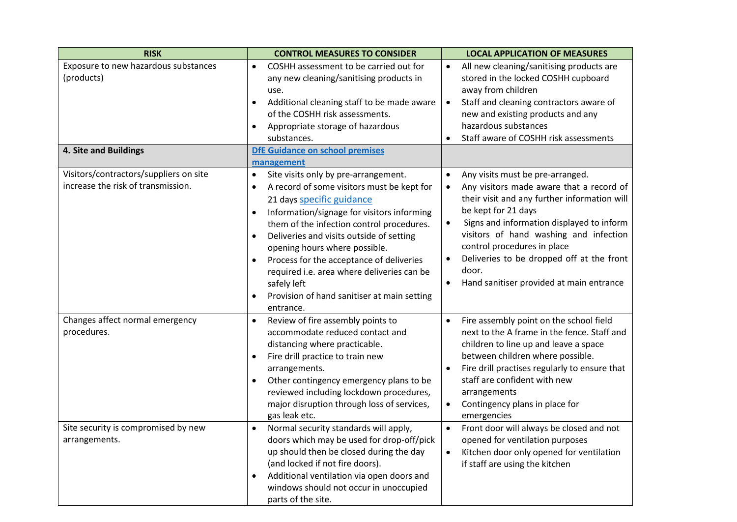| <b>RISK</b>                                                                  | <b>CONTROL MEASURES TO CONSIDER</b>                                                                                                                                                                                                                                                                                                                                                                                                                                                    | <b>LOCAL APPLICATION OF MEASURES</b>                                                                                                                                                                                                                                                                                                                                                                  |  |
|------------------------------------------------------------------------------|----------------------------------------------------------------------------------------------------------------------------------------------------------------------------------------------------------------------------------------------------------------------------------------------------------------------------------------------------------------------------------------------------------------------------------------------------------------------------------------|-------------------------------------------------------------------------------------------------------------------------------------------------------------------------------------------------------------------------------------------------------------------------------------------------------------------------------------------------------------------------------------------------------|--|
| Exposure to new hazardous substances<br>(products)                           | COSHH assessment to be carried out for<br>$\bullet$<br>any new cleaning/sanitising products in<br>use.<br>Additional cleaning staff to be made aware<br>$\bullet$<br>of the COSHH risk assessments.<br>Appropriate storage of hazardous<br>substances.                                                                                                                                                                                                                                 | All new cleaning/sanitising products are<br>$\bullet$<br>stored in the locked COSHH cupboard<br>away from children<br>Staff and cleaning contractors aware of<br>$\bullet$<br>new and existing products and any<br>hazardous substances<br>Staff aware of COSHH risk assessments                                                                                                                      |  |
| 4. Site and Buildings                                                        | DfE Guidance on school premises<br>management                                                                                                                                                                                                                                                                                                                                                                                                                                          |                                                                                                                                                                                                                                                                                                                                                                                                       |  |
| Visitors/contractors/suppliers on site<br>increase the risk of transmission. | Site visits only by pre-arrangement.<br>$\bullet$<br>A record of some visitors must be kept for<br>21 days specific guidance<br>Information/signage for visitors informing<br>them of the infection control procedures.<br>Deliveries and visits outside of setting<br>opening hours where possible.<br>Process for the acceptance of deliveries<br>required i.e. area where deliveries can be<br>safely left<br>Provision of hand sanitiser at main setting<br>$\bullet$<br>entrance. | Any visits must be pre-arranged.<br>$\bullet$<br>Any visitors made aware that a record of<br>their visit and any further information will<br>be kept for 21 days<br>Signs and information displayed to inform<br>visitors of hand washing and infection<br>control procedures in place<br>Deliveries to be dropped off at the front<br>door.<br>Hand sanitiser provided at main entrance<br>$\bullet$ |  |
| Changes affect normal emergency<br>procedures.                               | Review of fire assembly points to<br>$\bullet$<br>accommodate reduced contact and<br>distancing where practicable.<br>Fire drill practice to train new<br>$\bullet$<br>arrangements.<br>Other contingency emergency plans to be<br>$\bullet$<br>reviewed including lockdown procedures,<br>major disruption through loss of services,<br>gas leak etc.                                                                                                                                 | Fire assembly point on the school field<br>$\bullet$<br>next to the A frame in the fence. Staff and<br>children to line up and leave a space<br>between children where possible.<br>Fire drill practises regularly to ensure that<br>$\bullet$<br>staff are confident with new<br>arrangements<br>Contingency plans in place for<br>$\bullet$<br>emergencies                                          |  |
| Site security is compromised by new<br>arrangements.                         | Normal security standards will apply,<br>$\bullet$<br>doors which may be used for drop-off/pick<br>up should then be closed during the day<br>(and locked if not fire doors).<br>Additional ventilation via open doors and<br>windows should not occur in unoccupied<br>parts of the site.                                                                                                                                                                                             | Front door will always be closed and not<br>$\bullet$<br>opened for ventilation purposes<br>Kitchen door only opened for ventilation<br>$\bullet$<br>if staff are using the kitchen                                                                                                                                                                                                                   |  |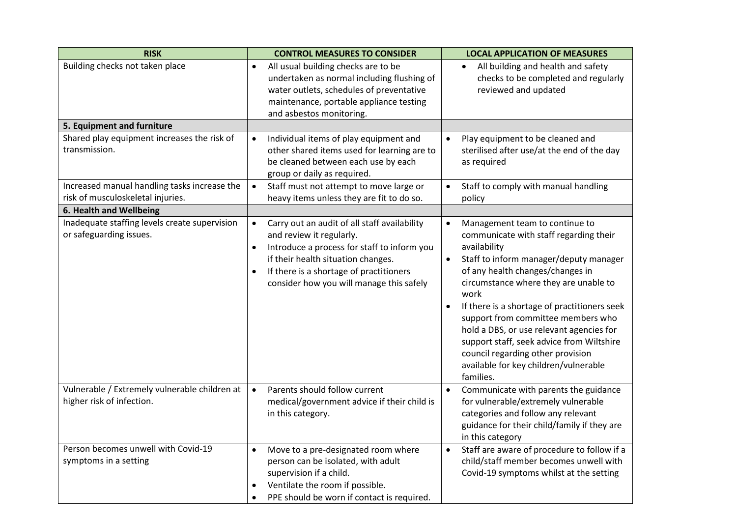| <b>RISK</b>                                                                       | <b>CONTROL MEASURES TO CONSIDER</b>                                                                                                                                                                                                                                                         | <b>LOCAL APPLICATION OF MEASURES</b>                                                                                                                                                                                                                                                                                                                                                                                                                                                                                                     |  |
|-----------------------------------------------------------------------------------|---------------------------------------------------------------------------------------------------------------------------------------------------------------------------------------------------------------------------------------------------------------------------------------------|------------------------------------------------------------------------------------------------------------------------------------------------------------------------------------------------------------------------------------------------------------------------------------------------------------------------------------------------------------------------------------------------------------------------------------------------------------------------------------------------------------------------------------------|--|
| Building checks not taken place                                                   | All usual building checks are to be<br>$\bullet$<br>undertaken as normal including flushing of<br>water outlets, schedules of preventative<br>maintenance, portable appliance testing<br>and asbestos monitoring.                                                                           | All building and health and safety<br>checks to be completed and regularly<br>reviewed and updated                                                                                                                                                                                                                                                                                                                                                                                                                                       |  |
| 5. Equipment and furniture                                                        |                                                                                                                                                                                                                                                                                             |                                                                                                                                                                                                                                                                                                                                                                                                                                                                                                                                          |  |
| Shared play equipment increases the risk of<br>transmission.                      | Individual items of play equipment and<br>$\bullet$<br>other shared items used for learning are to<br>be cleaned between each use by each<br>group or daily as required.                                                                                                                    | Play equipment to be cleaned and<br>sterilised after use/at the end of the day<br>as required                                                                                                                                                                                                                                                                                                                                                                                                                                            |  |
| Increased manual handling tasks increase the<br>risk of musculoskeletal injuries. | Staff must not attempt to move large or<br>$\bullet$<br>heavy items unless they are fit to do so.                                                                                                                                                                                           | Staff to comply with manual handling<br>$\bullet$<br>policy                                                                                                                                                                                                                                                                                                                                                                                                                                                                              |  |
| 6. Health and Wellbeing                                                           |                                                                                                                                                                                                                                                                                             |                                                                                                                                                                                                                                                                                                                                                                                                                                                                                                                                          |  |
| Inadequate staffing levels create supervision<br>or safeguarding issues.          | Carry out an audit of all staff availability<br>$\bullet$<br>and review it regularly.<br>Introduce a process for staff to inform you<br>$\bullet$<br>if their health situation changes.<br>If there is a shortage of practitioners<br>$\bullet$<br>consider how you will manage this safely | Management team to continue to<br>$\bullet$<br>communicate with staff regarding their<br>availability<br>$\bullet$<br>Staff to inform manager/deputy manager<br>of any health changes/changes in<br>circumstance where they are unable to<br>work<br>If there is a shortage of practitioners seek<br>$\bullet$<br>support from committee members who<br>hold a DBS, or use relevant agencies for<br>support staff, seek advice from Wiltshire<br>council regarding other provision<br>available for key children/vulnerable<br>families. |  |
| Vulnerable / Extremely vulnerable children at<br>higher risk of infection.        | Parents should follow current<br>$\bullet$<br>medical/government advice if their child is<br>in this category.                                                                                                                                                                              | Communicate with parents the guidance<br>$\bullet$<br>for vulnerable/extremely vulnerable<br>categories and follow any relevant<br>guidance for their child/family if they are<br>in this category                                                                                                                                                                                                                                                                                                                                       |  |
| Person becomes unwell with Covid-19<br>symptoms in a setting                      | Move to a pre-designated room where<br>$\bullet$<br>person can be isolated, with adult<br>supervision if a child.<br>Ventilate the room if possible.<br>PPE should be worn if contact is required.<br>$\bullet$                                                                             | Staff are aware of procedure to follow if a<br>$\bullet$<br>child/staff member becomes unwell with<br>Covid-19 symptoms whilst at the setting                                                                                                                                                                                                                                                                                                                                                                                            |  |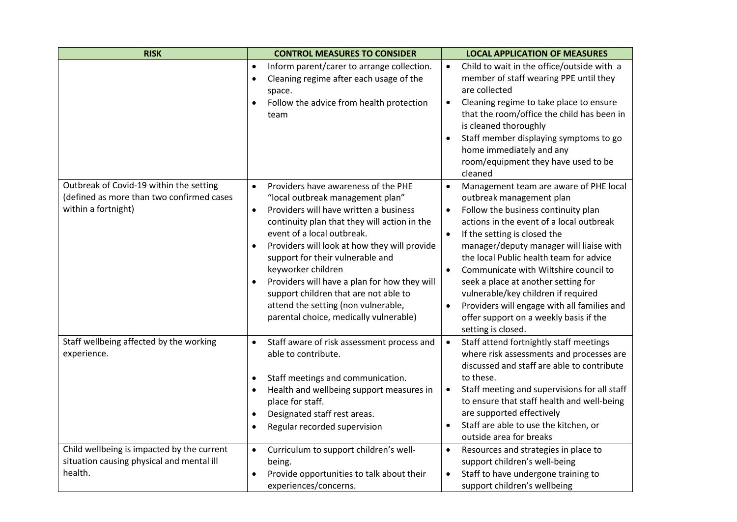| <b>RISK</b>                                                                                                 | <b>CONTROL MEASURES TO CONSIDER</b>                                                                                                                                                                                                                                                                                                                                                                                                                                                                                                     | <b>LOCAL APPLICATION OF MEASURES</b>                                                                                                                                                                                                                                                                                                                                                                                                                                                                                                                                               |  |  |
|-------------------------------------------------------------------------------------------------------------|-----------------------------------------------------------------------------------------------------------------------------------------------------------------------------------------------------------------------------------------------------------------------------------------------------------------------------------------------------------------------------------------------------------------------------------------------------------------------------------------------------------------------------------------|------------------------------------------------------------------------------------------------------------------------------------------------------------------------------------------------------------------------------------------------------------------------------------------------------------------------------------------------------------------------------------------------------------------------------------------------------------------------------------------------------------------------------------------------------------------------------------|--|--|
|                                                                                                             | Inform parent/carer to arrange collection.<br>$\bullet$<br>Cleaning regime after each usage of the<br>$\bullet$<br>space.                                                                                                                                                                                                                                                                                                                                                                                                               | Child to wait in the office/outside with a<br>$\bullet$<br>member of staff wearing PPE until they<br>are collected                                                                                                                                                                                                                                                                                                                                                                                                                                                                 |  |  |
|                                                                                                             | Follow the advice from health protection<br>$\bullet$<br>team                                                                                                                                                                                                                                                                                                                                                                                                                                                                           | Cleaning regime to take place to ensure<br>$\bullet$<br>that the room/office the child has been in<br>is cleaned thoroughly                                                                                                                                                                                                                                                                                                                                                                                                                                                        |  |  |
|                                                                                                             |                                                                                                                                                                                                                                                                                                                                                                                                                                                                                                                                         | Staff member displaying symptoms to go<br>$\bullet$<br>home immediately and any<br>room/equipment they have used to be<br>cleaned                                                                                                                                                                                                                                                                                                                                                                                                                                                  |  |  |
| Outbreak of Covid-19 within the setting<br>(defined as more than two confirmed cases<br>within a fortnight) | Providers have awareness of the PHE<br>$\bullet$<br>"local outbreak management plan"<br>Providers will have written a business<br>$\bullet$<br>continuity plan that they will action in the<br>event of a local outbreak.<br>Providers will look at how they will provide<br>$\bullet$<br>support for their vulnerable and<br>keyworker children<br>Providers will have a plan for how they will<br>$\bullet$<br>support children that are not able to<br>attend the setting (non vulnerable,<br>parental choice, medically vulnerable) | $\bullet$<br>Management team are aware of PHE local<br>outbreak management plan<br>Follow the business continuity plan<br>$\bullet$<br>actions in the event of a local outbreak<br>If the setting is closed the<br>$\bullet$<br>manager/deputy manager will liaise with<br>the local Public health team for advice<br>Communicate with Wiltshire council to<br>$\bullet$<br>seek a place at another setting for<br>vulnerable/key children if required<br>Providers will engage with all families and<br>$\bullet$<br>offer support on a weekly basis if the<br>setting is closed. |  |  |
| Staff wellbeing affected by the working<br>experience.                                                      | Staff aware of risk assessment process and<br>$\bullet$<br>able to contribute.<br>Staff meetings and communication.<br>$\bullet$<br>Health and wellbeing support measures in<br>$\bullet$<br>place for staff.<br>Designated staff rest areas.<br>$\bullet$<br>Regular recorded supervision<br>$\bullet$                                                                                                                                                                                                                                 | Staff attend fortnightly staff meetings<br>$\bullet$<br>where risk assessments and processes are<br>discussed and staff are able to contribute<br>to these.<br>Staff meeting and supervisions for all staff<br>$\bullet$<br>to ensure that staff health and well-being<br>are supported effectively<br>Staff are able to use the kitchen, or<br>$\bullet$<br>outside area for breaks                                                                                                                                                                                               |  |  |
| Child wellbeing is impacted by the current<br>situation causing physical and mental ill<br>health.          | Curriculum to support children's well-<br>$\bullet$<br>being.<br>Provide opportunities to talk about their<br>$\bullet$<br>experiences/concerns.                                                                                                                                                                                                                                                                                                                                                                                        | Resources and strategies in place to<br>$\bullet$<br>support children's well-being<br>Staff to have undergone training to<br>$\bullet$<br>support children's wellbeing                                                                                                                                                                                                                                                                                                                                                                                                             |  |  |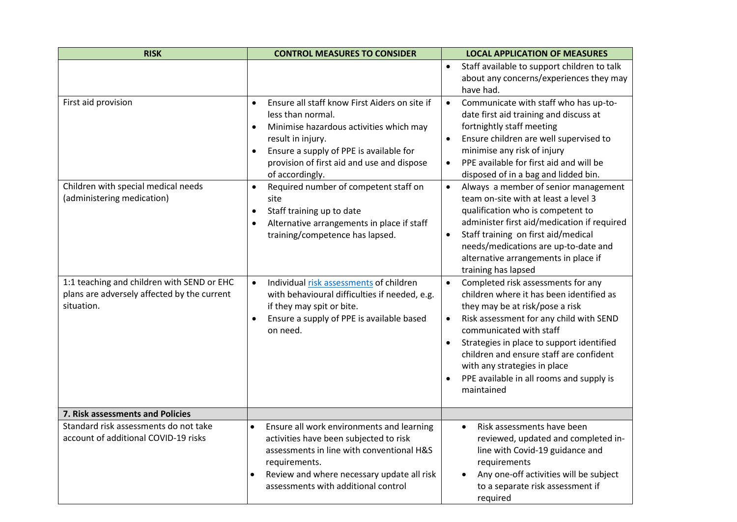| <b>RISK</b>                                                                                             | <b>CONTROL MEASURES TO CONSIDER</b>                                                                                                                                                                                                                                                                                                                                                                                                     | <b>LOCAL APPLICATION OF MEASURES</b>                                                                                                                                                                                                                                                                                                                                                                                                                                                                                                                                                                                                                        |  |  |
|---------------------------------------------------------------------------------------------------------|-----------------------------------------------------------------------------------------------------------------------------------------------------------------------------------------------------------------------------------------------------------------------------------------------------------------------------------------------------------------------------------------------------------------------------------------|-------------------------------------------------------------------------------------------------------------------------------------------------------------------------------------------------------------------------------------------------------------------------------------------------------------------------------------------------------------------------------------------------------------------------------------------------------------------------------------------------------------------------------------------------------------------------------------------------------------------------------------------------------------|--|--|
|                                                                                                         |                                                                                                                                                                                                                                                                                                                                                                                                                                         | Staff available to support children to talk<br>about any concerns/experiences they may<br>have had.                                                                                                                                                                                                                                                                                                                                                                                                                                                                                                                                                         |  |  |
| First aid provision<br>Children with special medical needs<br>(administering medication)                | Ensure all staff know First Aiders on site if<br>less than normal.<br>Minimise hazardous activities which may<br>$\bullet$<br>result in injury.<br>Ensure a supply of PPE is available for<br>provision of first aid and use and dispose<br>of accordingly.<br>Required number of competent staff on<br>site<br>Staff training up to date<br>$\bullet$<br>Alternative arrangements in place if staff<br>training/competence has lapsed. | Communicate with staff who has up-to-<br>$\bullet$<br>date first aid training and discuss at<br>fortnightly staff meeting<br>Ensure children are well supervised to<br>$\bullet$<br>minimise any risk of injury<br>PPE available for first aid and will be<br>$\bullet$<br>disposed of in a bag and lidded bin.<br>Always a member of senior management<br>$\bullet$<br>team on-site with at least a level 3<br>qualification who is competent to<br>administer first aid/medication if required<br>Staff training on first aid/medical<br>$\bullet$<br>needs/medications are up-to-date and<br>alternative arrangements in place if<br>training has lapsed |  |  |
| 1:1 teaching and children with SEND or EHC<br>plans are adversely affected by the current<br>situation. | Individual risk assessments of children<br>$\bullet$<br>with behavioural difficulties if needed, e.g.<br>if they may spit or bite.<br>Ensure a supply of PPE is available based<br>$\bullet$<br>on need.                                                                                                                                                                                                                                | Completed risk assessments for any<br>$\bullet$<br>children where it has been identified as<br>they may be at risk/pose a risk<br>Risk assessment for any child with SEND<br>$\bullet$<br>communicated with staff<br>Strategies in place to support identified<br>$\bullet$<br>children and ensure staff are confident<br>with any strategies in place<br>PPE available in all rooms and supply is<br>$\bullet$<br>maintained                                                                                                                                                                                                                               |  |  |
| 7. Risk assessments and Policies                                                                        |                                                                                                                                                                                                                                                                                                                                                                                                                                         |                                                                                                                                                                                                                                                                                                                                                                                                                                                                                                                                                                                                                                                             |  |  |
| Standard risk assessments do not take<br>account of additional COVID-19 risks                           | Ensure all work environments and learning<br>$\bullet$<br>activities have been subjected to risk<br>assessments in line with conventional H&S<br>requirements.<br>Review and where necessary update all risk<br>assessments with additional control                                                                                                                                                                                     | Risk assessments have been<br>$\bullet$<br>reviewed, updated and completed in-<br>line with Covid-19 guidance and<br>requirements<br>Any one-off activities will be subject<br>to a separate risk assessment if<br>required                                                                                                                                                                                                                                                                                                                                                                                                                                 |  |  |